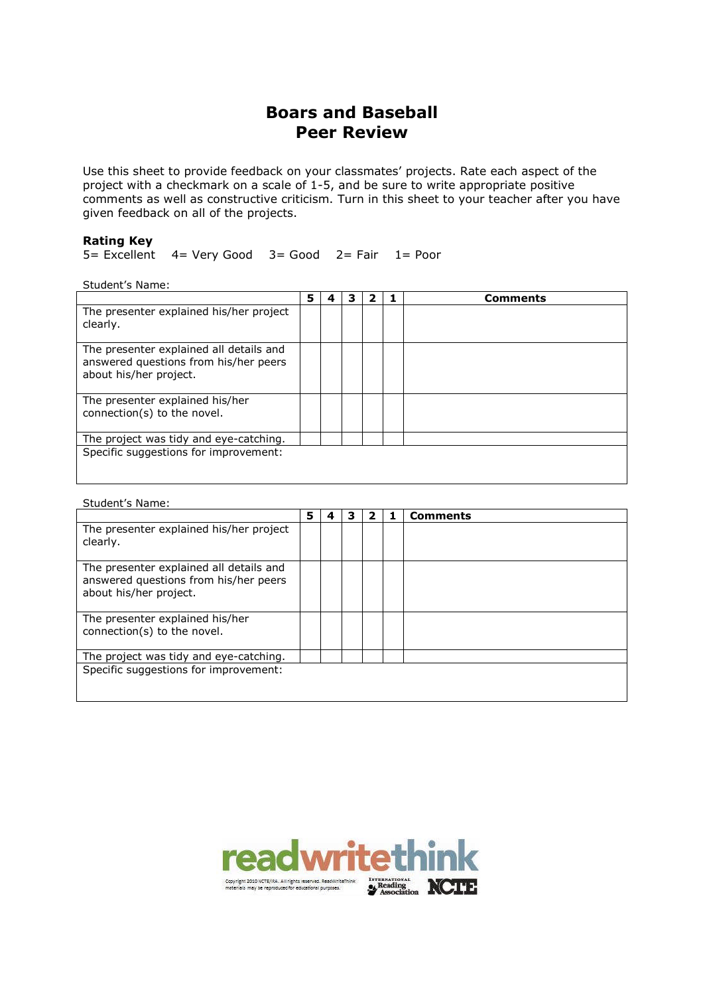# **Boars and Baseball Peer Review**

Use this sheet to provide feedback on your classmates' projects. Rate each aspect of the project with a checkmark on a scale of 1-5, and be sure to write appropriate positive comments as well as constructive criticism. Turn in this sheet to your teacher after you have given feedback on all of the projects.

## **Rating Key**

5= Excellent 4= Very Good 3= Good 2= Fair 1= Poor

Student's Name:

|                                                                                                            |  |  | <b>Comments</b> |
|------------------------------------------------------------------------------------------------------------|--|--|-----------------|
| The presenter explained his/her project<br>clearly.                                                        |  |  |                 |
| The presenter explained all details and<br>answered questions from his/her peers<br>about his/her project. |  |  |                 |
| The presenter explained his/her<br>connection(s) to the novel.                                             |  |  |                 |
| The project was tidy and eye-catching.                                                                     |  |  |                 |
| Specific suggestions for improvement:                                                                      |  |  |                 |

#### Student's Name:

|                                                                                                            | 5 | 4 | 3 | 2 | <b>Comments</b> |
|------------------------------------------------------------------------------------------------------------|---|---|---|---|-----------------|
| The presenter explained his/her project<br>clearly.                                                        |   |   |   |   |                 |
| The presenter explained all details and<br>answered questions from his/her peers<br>about his/her project. |   |   |   |   |                 |
| The presenter explained his/her<br>connection(s) to the novel.                                             |   |   |   |   |                 |
| The project was tidy and eye-catching.                                                                     |   |   |   |   |                 |
| Specific suggestions for improvement:                                                                      |   |   |   |   |                 |